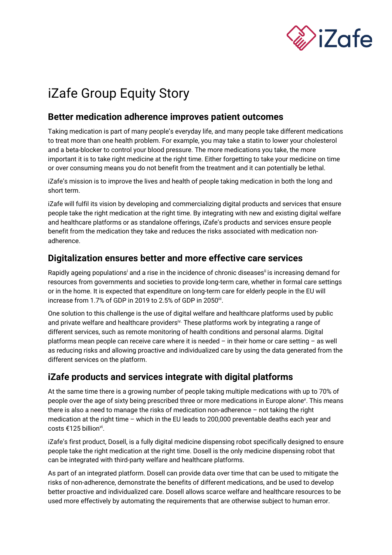

# iZafe Group Equity Story

# **Better medication adherence improves patient outcomes**

Taking medication is part of many people's everyday life, and many people take different medications to treat more than one health problem. For example, you may take a statin to lower your cholesterol and a beta-blocker to control your blood pressure. The more medications you take, the more important it is to take right medicine at the right time. Either forgetting to take your medicine on time or over consuming means you do not benefit from the treatment and it can potentially be lethal.

iZafe's mission is to improve the lives and health of people taking medication in both the long and short term.

iZafe will fulfil its vision by developing and commercializing digital products and services that ensure people take the right medication at the right time. By integrating with new and existing digital welfare and healthcare platforms or as standalone offerings, iZafe's products and services ensure people benefit from the medication they take and reduces the risks associated with medication nonadherence.

# **Digitalization ensures better and more effective care services**

Rapidly ageing populations<sup>i</sup> and a rise in the incidence of chronic diseases<sup>ii</sup> is increasing demand for resources from governments and societies to provide long-term care, whether in formal care settings or in the home. It is expected that expenditure on long-term care for elderly people in the EU will increase from 1.7% of GDP in 2019 to 2.5% of GDP in 2050 $\mathrm{^{iii}}$ .

One solution to this challenge is the use of digital welfare and healthcare platforms used by public and private welfare and healthcare providersiv. These platforms work by integrating a range of different services, such as remote monitoring of health conditions and personal alarms. Digital platforms mean people can receive care where it is needed – in their home or care setting – as well as reducing risks and allowing proactive and individualized care by using the data generated from the different services on the platform.

# **iZafe products and services integrate with digital platforms**

At the same time there is a growing number of people taking multiple medications with up to 70% of people over the age of sixty being prescribed three or more medications in Europe alone<sup>v</sup>. This means there is also a need to manage the risks of medication non-adherence – not taking the right medication at the right time – which in the EU leads to 200,000 preventable deaths each year and costs €125 billion<sup>vi</sup>.

iZafe's first product, Dosell, is a fully digital medicine dispensing robot specifically designed to ensure people take the right medication at the right time. Dosell is the only medicine dispensing robot that can be integrated with third-party welfare and healthcare platforms.

As part of an integrated platform. Dosell can provide data over time that can be used to mitigate the risks of non-adherence, demonstrate the benefits of different medications, and be used to develop better proactive and individualized care. Dosell allows scarce welfare and healthcare resources to be used more effectively by automating the requirements that are otherwise subject to human error.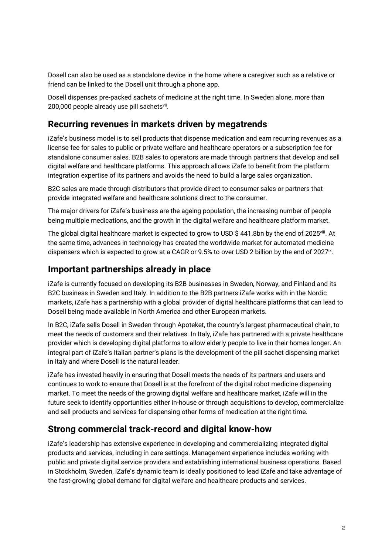Dosell can also be used as a standalone device in the home where a caregiver such as a relative or friend can be linked to the Dosell unit through a phone app.

Dosell dispenses pre-packed sachets of medicine at the right time. In Sweden alone, more than 200,000 people already use pill sachets<sup>vii</sup>.

# **Recurring revenues in markets driven by megatrends**

iZafe's business model is to sell products that dispense medication and earn recurring revenues as a license fee for sales to public or private welfare and healthcare operators or a subscription fee for standalone consumer sales. B2B sales to operators are made through partners that develop and sell digital welfare and healthcare platforms. This approach allows iZafe to benefit from the platform integration expertise of its partners and avoids the need to build a large sales organization.

B2C sales are made through distributors that provide direct to consumer sales or partners that provide integrated welfare and healthcare solutions direct to the consumer.

The major drivers for iZafe's business are the ageing population, the increasing number of people being multiple medications, and the growth in the digital welfare and healthcare platform market.

The global digital healthcare market is expected to grow to USD \$441.8bn by the end of 2025<sup>viii</sup>. At the same time, advances in technology has created the worldwide market for automated medicine dispensers which is expected to grow at a CAGR or 9.5% to over USD 2 billion by the end of 2027<sup>ix</sup>.

# **Important partnerships already in place**

iZafe is currently focused on developing its B2B businesses in Sweden, Norway, and Finland and its B2C business in Sweden and Italy. In addition to the B2B partners iZafe works with in the Nordic markets, iZafe has a partnership with a global provider of digital healthcare platforms that can lead to Dosell being made available in North America and other European markets.

In B2C, iZafe sells Dosell in Sweden through Apoteket, the country's largest pharmaceutical chain, to meet the needs of customers and their relatives. In Italy, iZafe has partnered with a private healthcare provider which is developing digital platforms to allow elderly people to live in their homes longer. An integral part of iZafe's Italian partner's plans is the development of the pill sachet dispensing market in Italy and where Dosell is the natural leader.

iZafe has invested heavily in ensuring that Dosell meets the needs of its partners and users and continues to work to ensure that Dosell is at the forefront of the digital robot medicine dispensing market. To meet the needs of the growing digital welfare and healthcare market, iZafe will in the future seek to identify opportunities either in-house or through acquisitions to develop, commercialize and sell products and services for dispensing other forms of medication at the right time.

# **Strong commercial track-record and digital know-how**

iZafe's leadership has extensive experience in developing and commercializing integrated digital products and services, including in care settings. Management experience includes working with public and private digital service providers and establishing international business operations. Based in Stockholm, Sweden, iZafe's dynamic team is ideally positioned to lead iZafe and take advantage of the fast-growing global demand for digital welfare and healthcare products and services.